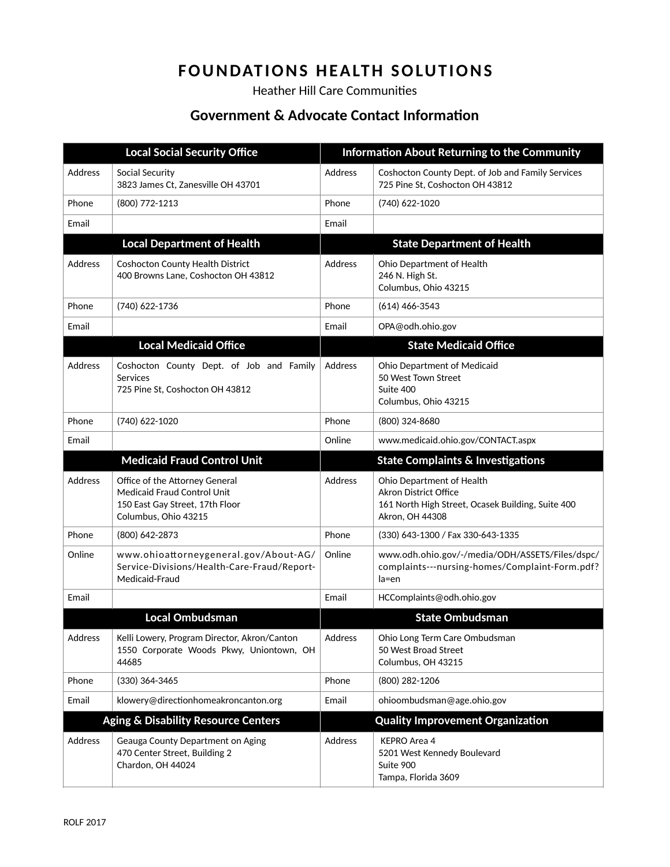## **FOUNDATIONS HEALTH SOLUTIONS**

Heather Hill Care Communities

## **Government & Advocate Contact Information**

| <b>Local Social Security Office</b>            |                                                                                                                                 | <b>Information About Returning to the Community</b> |                                                                                                                                   |
|------------------------------------------------|---------------------------------------------------------------------------------------------------------------------------------|-----------------------------------------------------|-----------------------------------------------------------------------------------------------------------------------------------|
| <b>Address</b>                                 | Social Security<br>3823 James Ct, Zanesville OH 43701                                                                           | Address                                             | Coshocton County Dept. of Job and Family Services<br>725 Pine St, Coshocton OH 43812                                              |
| Phone                                          | (800) 772-1213                                                                                                                  | Phone                                               | (740) 622-1020                                                                                                                    |
| Email                                          |                                                                                                                                 | Email                                               |                                                                                                                                   |
|                                                | <b>Local Department of Health</b>                                                                                               |                                                     | <b>State Department of Health</b>                                                                                                 |
| <b>Address</b>                                 | Coshocton County Health District<br>400 Browns Lane, Coshocton OH 43812                                                         | Address                                             | Ohio Department of Health<br>246 N. High St.<br>Columbus, Ohio 43215                                                              |
| Phone                                          | (740) 622-1736                                                                                                                  | Phone                                               | $(614)$ 466-3543                                                                                                                  |
| Email                                          |                                                                                                                                 | Email                                               | OPA@odh.ohio.gov                                                                                                                  |
|                                                | <b>Local Medicaid Office</b>                                                                                                    |                                                     | <b>State Medicaid Office</b>                                                                                                      |
| <b>Address</b>                                 | Coshocton County Dept. of Job and Family<br>Services<br>725 Pine St, Coshocton OH 43812                                         | Address                                             | Ohio Department of Medicaid<br>50 West Town Street<br>Suite 400<br>Columbus, Ohio 43215                                           |
| Phone                                          | (740) 622-1020                                                                                                                  | Phone                                               | (800) 324-8680                                                                                                                    |
| Email                                          |                                                                                                                                 | Online                                              | www.medicaid.ohio.gov/CONTACT.aspx                                                                                                |
|                                                | <b>Medicaid Fraud Control Unit</b>                                                                                              |                                                     | <b>State Complaints &amp; Investigations</b>                                                                                      |
| <b>Address</b>                                 | Office of the Attorney General<br><b>Medicaid Fraud Control Unit</b><br>150 East Gay Street, 17th Floor<br>Columbus, Ohio 43215 | <b>Address</b>                                      | Ohio Department of Health<br><b>Akron District Office</b><br>161 North High Street, Ocasek Building, Suite 400<br>Akron, OH 44308 |
| Phone                                          | (800) 642-2873                                                                                                                  | Phone                                               | (330) 643-1300 / Fax 330-643-1335                                                                                                 |
| Online                                         | www.ohioattorneygeneral.gov/About-AG/<br>Service-Divisions/Health-Care-Fraud/Report-<br>Medicaid-Fraud                          | Online                                              | www.odh.ohio.gov/-/media/ODH/ASSETS/Files/dspc/<br>complaints---nursing-homes/Complaint-Form.pdf?<br>la=en                        |
| Email                                          |                                                                                                                                 | Email                                               | HCComplaints@odh.ohio.gov                                                                                                         |
|                                                | <b>Local Ombudsman</b>                                                                                                          |                                                     | <b>State Ombudsman</b>                                                                                                            |
| Address                                        | Kelli Lowery, Program Director, Akron/Canton<br>1550 Corporate Woods Pkwy, Uniontown, OH<br>44685                               | Address                                             | Ohio Long Term Care Ombudsman<br>50 West Broad Street<br>Columbus, OH 43215                                                       |
| Phone                                          | $(330)$ 364-3465                                                                                                                | Phone                                               | (800) 282-1206                                                                                                                    |
| Email                                          | klowery@directionhomeakroncanton.org                                                                                            | Email                                               | ohioombudsman@age.ohio.gov                                                                                                        |
| <b>Aging &amp; Disability Resource Centers</b> |                                                                                                                                 |                                                     | <b>Quality Improvement Organization</b>                                                                                           |
| <b>Address</b>                                 | Geauga County Department on Aging<br>470 Center Street, Building 2<br>Chardon, OH 44024                                         | Address                                             | <b>KEPRO Area 4</b><br>5201 West Kennedy Boulevard<br>Suite 900<br>Tampa, Florida 3609                                            |